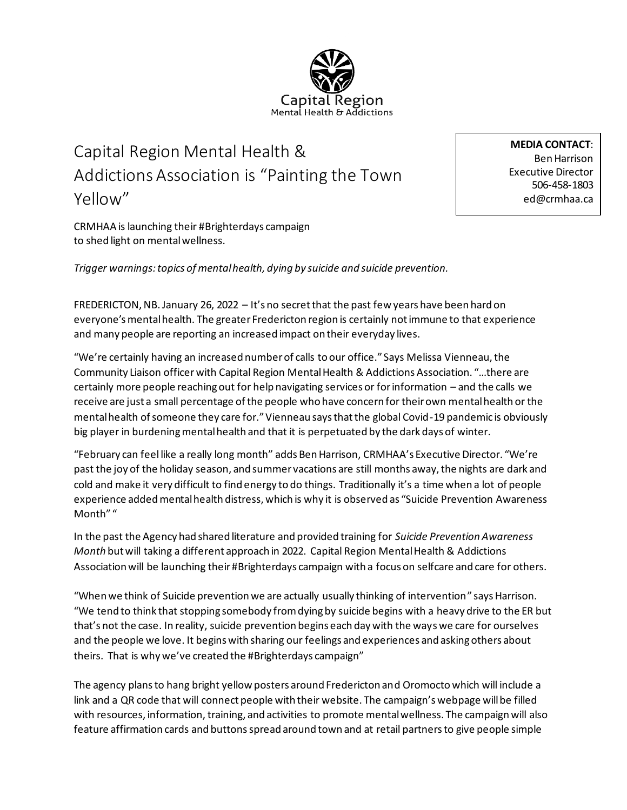## Mental Health & Addictions

## Capital Region Mental Health & Addictions Association is "Painting the Town Yellow"

**MEDIA CONTACT**: Ben Harrison Executive Director 506-458-1803 ed@crmhaa.ca

CRMHAA is launching their #Brighterdays campaign to shed light on mental wellness.

*Trigger warnings: topics of mental health, dying by suicide and suicide prevention.* 

FREDERICTON, NB. January 26, 2022 – It's no secret that the past few years have been hard on everyone's mental health. The greater Fredericton region is certainly not immune to that experience and many people are reporting an increased impact on their everyday lives.

"We're certainly having an increased number of calls to our office." Says Melissa Vienneau, the Community Liaison officer with Capital Region Mental Health & Addictions Association. "…there are certainly more people reaching out for help navigating services or for information – and the calls we receive are just a small percentage of the people who have concern for their own mental health or the mental health of someone they care for." Vienneau says that the global Covid-19 pandemic is obviously big player in burdening mental health and that it is perpetuated by the dark days of winter.

"February can feel like a really long month" adds Ben Harrison, CRMHAA's Executive Director. "We're past the joy of the holiday season, and summer vacations are still months away, the nights are dark and cold and make it very difficult to find energy to do things. Traditionally it's a time when a lot of people experience added mental health distress, which is why it is observed as "Suicide Prevention Awareness Month" "

In the past the Agency had shared literature and provided training for *Suicide Prevention Awareness Month* but will taking a different approach in 2022. Capital Region Mental Health & Addictions Association will be launching their #Brighterdays campaign with a focus on selfcare and care for others.

"When we think of Suicide prevention we are actually usually thinking of intervention" says Harrison. "We tend to think that stopping somebody from dying by suicide begins with a heavy drive to the ER but that's not the case. In reality, suicide prevention begins each day with the wayswe care for ourselves and the people we love. It begins with sharing our feelings and experiences and asking others about theirs. That is why we've created the #Brighterdays campaign"

The agency plans to hang bright yellow posters around Fredericton and Oromocto which will include a link and a QR code that will connect people with their website. The campaign's webpage will be filled with resources, information, training, and activities to promote mental wellness. The campaign will also feature affirmation cards and buttons spread around town and at retail partners to give people simple